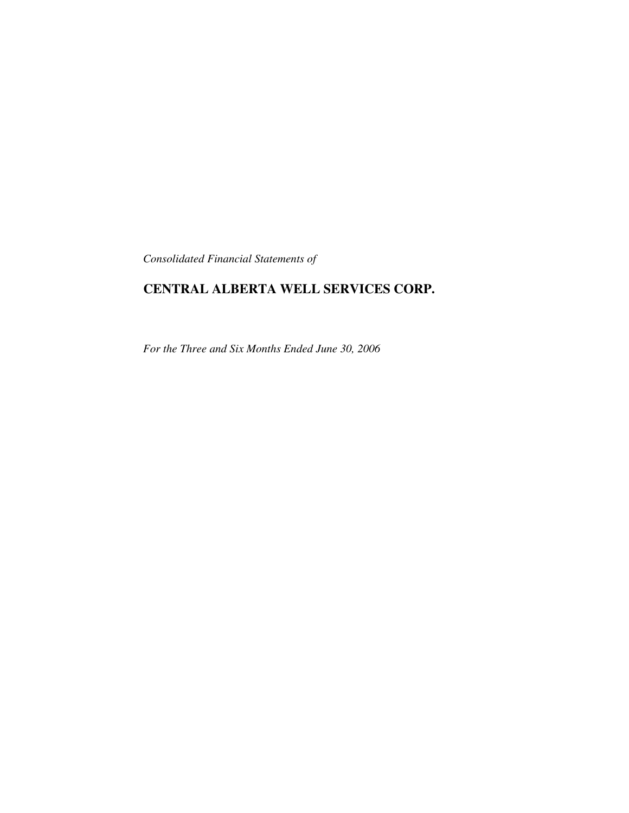*Consolidated Financial Statements of*

# **CENTRAL ALBERTA WELL SERVICES CORP.**

*For the Three and Six Months Ended June 30, 2006*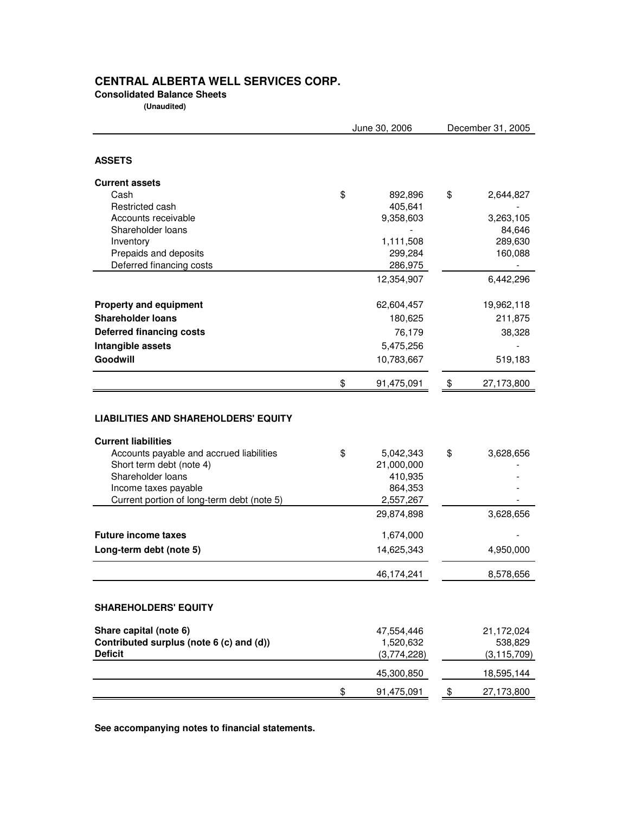# **CENTRAL ALBERTA WELL SERVICES CORP.**

**Consolidated Balance Sheets**

 **(Unaudited) (Unaudited)**

|                                                                           | June 30, 2006    |    | December 31, 2005 |  |  |
|---------------------------------------------------------------------------|------------------|----|-------------------|--|--|
|                                                                           |                  |    |                   |  |  |
| <b>ASSETS</b>                                                             |                  |    |                   |  |  |
| <b>Current assets</b>                                                     |                  |    |                   |  |  |
| Cash                                                                      | \$<br>892,896    | \$ | 2,644,827         |  |  |
| Restricted cash                                                           | 405,641          |    |                   |  |  |
| Accounts receivable                                                       | 9,358,603        |    | 3,263,105         |  |  |
| Shareholder loans                                                         |                  |    | 84,646            |  |  |
| Inventory                                                                 | 1,111,508        |    | 289,630           |  |  |
| Prepaids and deposits                                                     | 299,284          |    | 160,088           |  |  |
| Deferred financing costs                                                  | 286,975          |    |                   |  |  |
|                                                                           | 12,354,907       |    | 6,442,296         |  |  |
| <b>Property and equipment</b>                                             | 62,604,457       |    | 19,962,118        |  |  |
| <b>Shareholder loans</b>                                                  | 180,625          |    | 211,875           |  |  |
| <b>Deferred financing costs</b>                                           | 76,179           |    | 38,328            |  |  |
| Intangible assets                                                         | 5,475,256        |    |                   |  |  |
| Goodwill                                                                  | 10,783,667       |    | 519,183           |  |  |
|                                                                           | \$<br>91,475,091 | \$ | 27,173,800        |  |  |
|                                                                           |                  |    |                   |  |  |
| <b>LIABILITIES AND SHAREHOLDERS' EQUITY</b><br><b>Current liabilities</b> |                  |    |                   |  |  |
| Accounts payable and accrued liabilities                                  | \$<br>5,042,343  | \$ | 3,628,656         |  |  |
| Short term debt (note 4)                                                  | 21,000,000       |    |                   |  |  |
| Shareholder loans                                                         | 410,935          |    |                   |  |  |
| Income taxes payable                                                      | 864,353          |    |                   |  |  |
| Current portion of long-term debt (note 5)                                | 2,557,267        |    |                   |  |  |
|                                                                           | 29,874,898       |    | 3,628,656         |  |  |
| <b>Future income taxes</b>                                                | 1,674,000        |    |                   |  |  |
| Long-term debt (note 5)                                                   | 14,625,343       |    | 4,950,000         |  |  |
|                                                                           | 46,174,241       |    | 8,578,656         |  |  |
| <b>SHAREHOLDERS' EQUITY</b>                                               |                  |    |                   |  |  |
| Share capital (note 6)                                                    | 47,554,446       |    | 21,172,024        |  |  |
| Contributed surplus (note 6 (c) and (d))                                  | 1,520,632        |    | 538,829           |  |  |
| <b>Deficit</b>                                                            | (3,774,228)      |    | (3, 115, 709)     |  |  |
|                                                                           | 45,300,850       |    | 18,595,144        |  |  |
|                                                                           | \$<br>91,475,091 | \$ | 27,173,800        |  |  |

**See accompanying notes to financial statements.**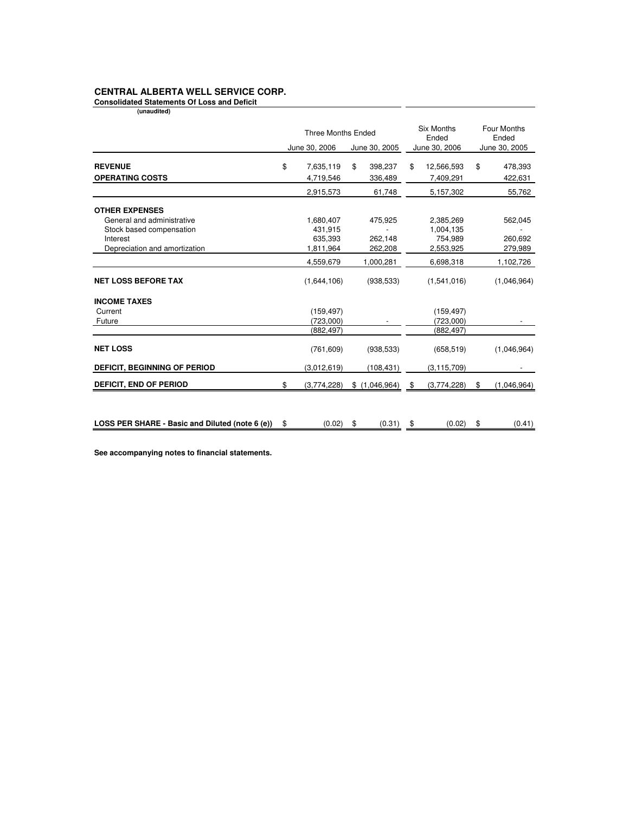### **CENTRAL ALBERTA WELL SERVICE CORP.**

**Consolidated Statements Of Loss and Deficit (unaudited)** 

|                                                 | <b>Three Months Ended</b> |               |    | <b>Six Months</b><br>Ended |    | <b>Four Months</b><br>Ended |    |               |
|-------------------------------------------------|---------------------------|---------------|----|----------------------------|----|-----------------------------|----|---------------|
|                                                 |                           | June 30, 2006 |    | June 30, 2005              |    | June 30, 2006               |    | June 30, 2005 |
| <b>REVENUE</b>                                  | \$                        | 7,635,119     | \$ | 398,237                    | \$ | 12,566,593                  | \$ | 478,393       |
| <b>OPERATING COSTS</b>                          |                           | 4,719,546     |    | 336,489                    |    | 7,409,291                   |    | 422,631       |
|                                                 |                           | 2,915,573     |    | 61,748                     |    | 5,157,302                   |    | 55,762        |
| <b>OTHER EXPENSES</b>                           |                           |               |    |                            |    |                             |    |               |
| General and administrative                      |                           | 1,680,407     |    | 475,925                    |    | 2,385,269                   |    | 562,045       |
| Stock based compensation                        |                           | 431,915       |    |                            |    | 1,004,135                   |    |               |
| Interest                                        |                           | 635,393       |    | 262,148                    |    | 754,989                     |    | 260,692       |
| Depreciation and amortization                   |                           | 1,811,964     |    | 262,208                    |    | 2,553,925                   |    | 279,989       |
|                                                 |                           | 4,559,679     |    | 1,000,281                  |    | 6,698,318                   |    | 1,102,726     |
| <b>NET LOSS BEFORE TAX</b>                      |                           | (1,644,106)   |    | (938, 533)                 |    | (1,541,016)                 |    | (1,046,964)   |
| <b>INCOME TAXES</b>                             |                           |               |    |                            |    |                             |    |               |
| Current                                         |                           | (159, 497)    |    |                            |    | (159, 497)                  |    |               |
| Future                                          |                           | (723,000)     |    |                            |    | (723,000)                   |    |               |
|                                                 |                           | (882, 497)    |    |                            |    | (882, 497)                  |    |               |
| <b>NET LOSS</b>                                 |                           | (761, 609)    |    | (938, 533)                 |    | (658, 519)                  |    | (1,046,964)   |
| <b>DEFICIT, BEGINNING OF PERIOD</b>             |                           | (3,012,619)   |    | (108, 431)                 |    | (3, 115, 709)               |    |               |
| <b>DEFICIT, END OF PERIOD</b>                   | \$                        | (3,774,228)   |    | \$(1,046,964)              | \$ | (3,774,228)                 | \$ | (1,046,964)   |
|                                                 |                           |               |    |                            |    |                             |    |               |
| LOSS PER SHARE - Basic and Diluted (note 6 (e)) | \$                        | (0.02)        | \$ | (0.31)                     | \$ | (0.02)                      | \$ | (0.41)        |

**See accompanying notes to financial statements.**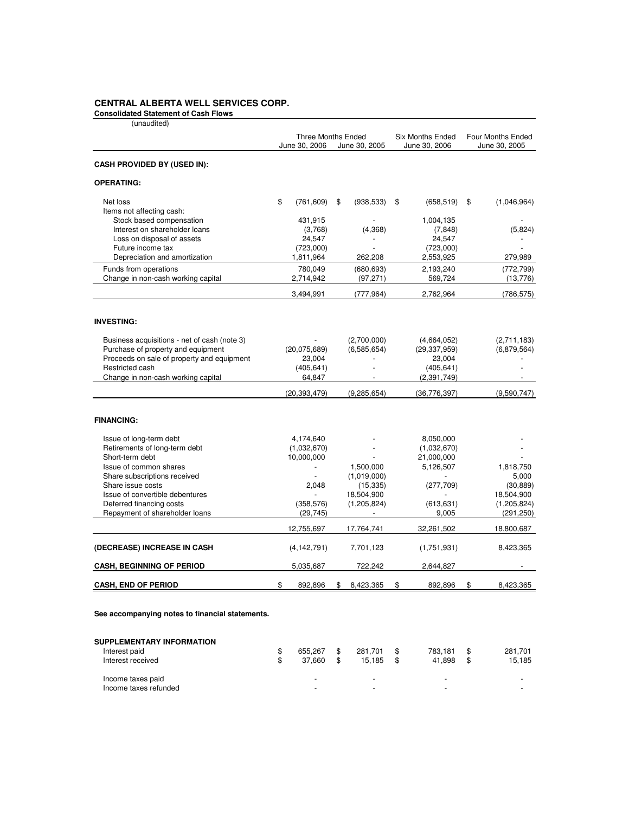## **CENTRAL ALBERTA WELL SERVICES CORP.**

**Consolidated Statement of Cash Flows**

| (unaudited)                                  |                           |               |                         |    |                          |                   |
|----------------------------------------------|---------------------------|---------------|-------------------------|----|--------------------------|-------------------|
|                                              | <b>Three Months Ended</b> |               | <b>Six Months Ended</b> |    | <b>Four Months Ended</b> |                   |
|                                              |                           | June 30, 2006 | June 30, 2005           |    | June 30, 2006            | June 30, 2005     |
| <b>CASH PROVIDED BY (USED IN):</b>           |                           |               |                         |    |                          |                   |
| <b>OPERATING:</b>                            |                           |               |                         |    |                          |                   |
| Net loss                                     | \$                        | (761, 609)    | \$<br>(938, 533)        | \$ | (658, 519)               | \$<br>(1,046,964) |
| Items not affecting cash:                    |                           |               |                         |    |                          |                   |
| Stock based compensation                     |                           | 431,915       |                         |    | 1,004,135                |                   |
| Interest on shareholder loans                |                           | (3,768)       | (4,368)                 |    | (7, 848)                 | (5,824)           |
| Loss on disposal of assets                   |                           | 24,547        |                         |    | 24,547                   |                   |
| Future income tax                            |                           | (723,000)     |                         |    | (723,000)                |                   |
| Depreciation and amortization                |                           | 1,811,964     | 262,208                 |    | 2,553,925                | 279,989           |
| Funds from operations                        |                           | 780,049       | (680, 693)              |    | 2,193,240                | (772, 799)        |
| Change in non-cash working capital           |                           | 2,714,942     | (97, 271)               |    | 569,724                  | (13, 776)         |
|                                              |                           | 3,494,991     | (777, 964)              |    | 2,762,964                | (786, 575)        |
|                                              |                           |               |                         |    |                          |                   |
| <b>INVESTING:</b>                            |                           |               |                         |    |                          |                   |
| Business acquisitions - net of cash (note 3) |                           |               | (2,700,000)             |    | (4,664,052)              | (2,711,183)       |
| Purchase of property and equipment           |                           | (20,075,689)  | (6,585,654)             |    | (29, 337, 959)           | (6,879,564)       |
| Proceeds on sale of property and equipment   |                           | 23,004        |                         |    | 23,004                   |                   |
| Restricted cash                              |                           | (405, 641)    |                         |    | (405, 641)               |                   |
| Change in non-cash working capital           |                           | 64,847        |                         |    | (2,391,749)              |                   |
|                                              |                           | (20,393,479)  | (9, 285, 654)           |    | (36, 776, 397)           | (9,590,747)       |
| <b>FINANCING:</b>                            |                           |               |                         |    |                          |                   |
| Issue of long-term debt                      |                           | 4,174,640     |                         |    | 8,050,000                |                   |
| Retirements of long-term debt                |                           | (1,032,670)   |                         |    | (1,032,670)              |                   |
| Short-term debt                              |                           | 10,000,000    |                         |    | 21,000,000               |                   |
| Issue of common shares                       |                           |               | 1,500,000               |    | 5,126,507                | 1,818,750         |
| Share subscriptions received                 |                           |               | (1,019,000)             |    |                          | 5,000             |
| Share issue costs                            |                           | 2,048         | (15, 335)               |    | (277, 709)               | (30, 889)         |
| Issue of convertible debentures              |                           |               | 18,504,900              |    |                          | 18,504,900        |
| Deferred financing costs                     |                           | (358, 576)    | (1,205,824)             |    | (613, 631)               | (1,205,824)       |
| Repayment of shareholder loans               |                           | (29, 745)     |                         |    | 9,005                    | (291, 250)        |
|                                              |                           | 12,755,697    | 17,764,741              |    | 32,261,502               | 18,800,687        |
| (DECREASE) INCREASE IN CASH                  |                           | (4, 142, 791) | 7,701,123               |    | (1,751,931)              | 8,423,365         |
| <b>CASH, BEGINNING OF PERIOD</b>             |                           | 5,035,687     | 722,242                 |    | 2,644,827                |                   |
| <b>CASH, END OF PERIOD</b>                   | \$                        | 892,896       | \$<br>8,423,365         | \$ | 892,896                  | \$<br>8,423,365   |

**See accompanying notes to financial statements.**

| <b>SUPPLEMENTARY INFORMATION</b> |         |              |         |         |
|----------------------------------|---------|--------------|---------|---------|
| Interest paid                    | 655.267 | 281.701      | 783.181 | 281.701 |
| Interest received                | 37.660  | \$<br>15.185 | 41.898  | 15,185  |
| Income taxes paid                |         | -            | -       |         |
| Income taxes refunded            |         | -            | -       | -       |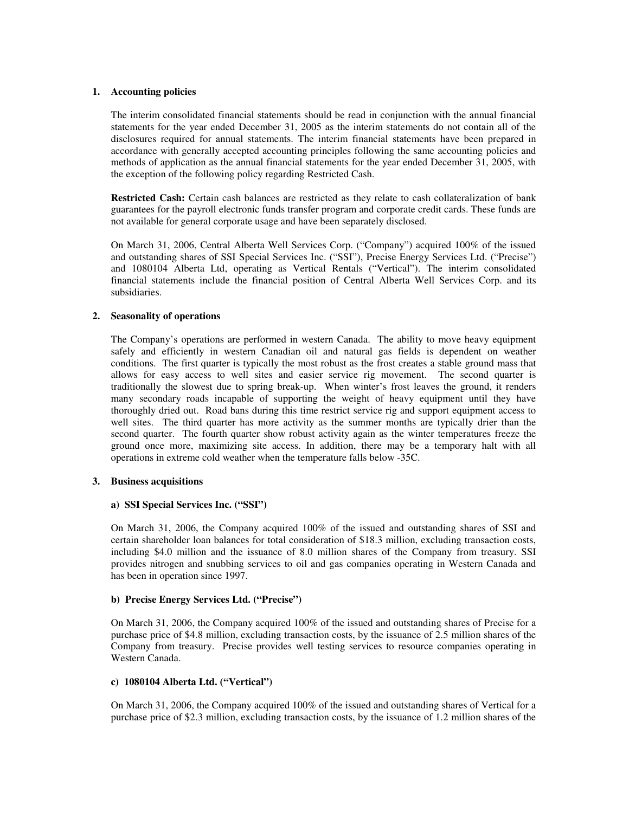#### **1. Accounting policies**

The interim consolidated financial statements should be read in conjunction with the annual financial statements for the year ended December 31, 2005 as the interim statements do not contain all of the disclosures required for annual statements. The interim financial statements have been prepared in accordance with generally accepted accounting principles following the same accounting policies and methods of application as the annual financial statements for the year ended December 31, 2005, with the exception of the following policy regarding Restricted Cash.

**Restricted Cash:** Certain cash balances are restricted as they relate to cash collateralization of bank guarantees for the payroll electronic funds transfer program and corporate credit cards. These funds are not available for general corporate usage and have been separately disclosed.

On March 31, 2006, Central Alberta Well Services Corp. ("Company") acquired 100% of the issued and outstanding shares of SSI Special Services Inc. ("SSI"), Precise Energy Services Ltd. ("Precise") and 1080104 Alberta Ltd, operating as Vertical Rentals ("Vertical"). The interim consolidated financial statements include the financial position of Central Alberta Well Services Corp. and its subsidiaries.

#### **2. Seasonality of operations**

The Company's operations are performed in western Canada. The ability to move heavy equipment safely and efficiently in western Canadian oil and natural gas fields is dependent on weather conditions. The first quarter is typically the most robust as the frost creates a stable ground mass that allows for easy access to well sites and easier service rig movement. The second quarter is traditionally the slowest due to spring break-up. When winter's frost leaves the ground, it renders many secondary roads incapable of supporting the weight of heavy equipment until they have thoroughly dried out. Road bans during this time restrict service rig and support equipment access to well sites. The third quarter has more activity as the summer months are typically drier than the second quarter. The fourth quarter show robust activity again as the winter temperatures freeze the ground once more, maximizing site access. In addition, there may be a temporary halt with all operations in extreme cold weather when the temperature falls below -35C.

#### **3. Business acquisitions**

#### **a) SSI Special Services Inc. ("SSI")**

On March 31, 2006, the Company acquired 100% of the issued and outstanding shares of SSI and certain shareholder loan balances for total consideration of \$18.3 million, excluding transaction costs, including \$4.0 million and the issuance of 8.0 million shares of the Company from treasury. SSI provides nitrogen and snubbing services to oil and gas companies operating in Western Canada and has been in operation since 1997.

#### **b) Precise Energy Services Ltd. ("Precise")**

On March 31, 2006, the Company acquired 100% of the issued and outstanding shares of Precise for a purchase price of \$4.8 million, excluding transaction costs, by the issuance of 2.5 million shares of the Company from treasury. Precise provides well testing services to resource companies operating in Western Canada.

#### **c) 1080104 Alberta Ltd. ("Vertical")**

On March 31, 2006, the Company acquired 100% of the issued and outstanding shares of Vertical for a purchase price of \$2.3 million, excluding transaction costs, by the issuance of 1.2 million shares of the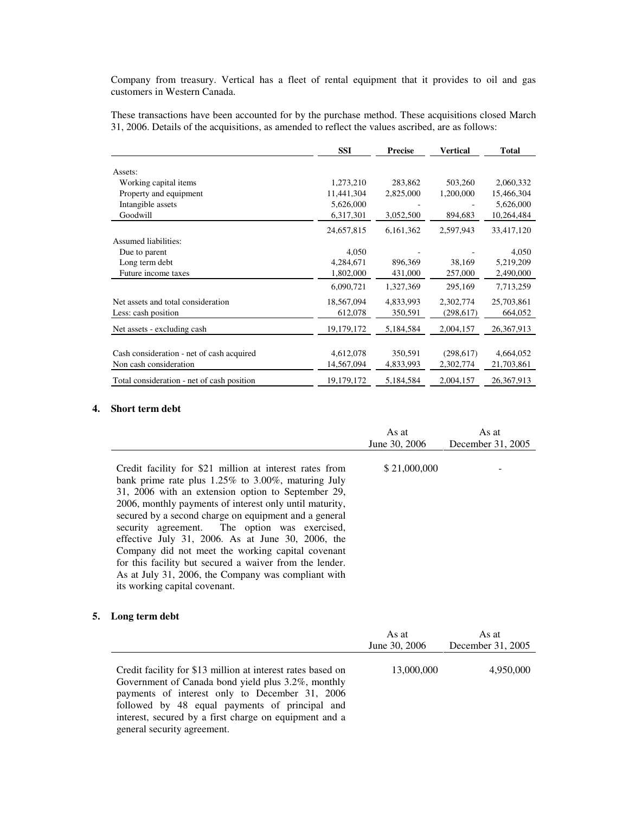Company from treasury. Vertical has a fleet of rental equipment that it provides to oil and gas customers in Western Canada.

These transactions have been accounted for by the purchase method. These acquisitions closed March 31, 2006. Details of the acquisitions, as amended to reflect the values ascribed, are as follows:

|                                            | <b>SSI</b> | <b>Precise</b> | <b>Vertical</b> | <b>Total</b> |
|--------------------------------------------|------------|----------------|-----------------|--------------|
|                                            |            |                |                 |              |
| Assets:                                    |            |                |                 |              |
| Working capital items                      | 1,273,210  | 283,862        | 503,260         | 2,060,332    |
| Property and equipment                     | 11,441,304 | 2,825,000      | 1,200,000       | 15,466,304   |
| Intangible assets                          | 5,626,000  |                |                 | 5,626,000    |
| Goodwill                                   | 6,317,301  | 3,052,500      | 894,683         | 10,264,484   |
|                                            | 24,657,815 | 6,161,362      | 2,597,943       | 33,417,120   |
| Assumed liabilities:                       |            |                |                 |              |
| Due to parent                              | 4,050      |                |                 | 4,050        |
| Long term debt                             | 4,284,671  | 896,369        | 38,169          | 5,219,209    |
| Future income taxes                        | 1,802,000  | 431,000        | 257,000         | 2,490,000    |
|                                            | 6,090,721  | 1,327,369      | 295,169         | 7,713,259    |
| Net assets and total consideration         | 18,567,094 | 4,833,993      | 2,302,774       | 25,703,861   |
| Less: cash position                        | 612,078    | 350,591        | (298, 617)      | 664,052      |
| Net assets - excluding cash                | 19,179,172 | 5,184,584      | 2,004,157       | 26, 367, 913 |
|                                            |            |                |                 |              |
| Cash consideration - net of cash acquired  | 4,612,078  | 350,591        | (298, 617)      | 4,664,052    |
| Non cash consideration                     | 14,567,094 | 4,833,993      | 2,302,774       | 21,703,861   |
| Total consideration - net of cash position | 19,179,172 | 5,184,584      | 2,004,157       | 26,367,913   |

#### **4. Short term debt**

|                                                                                                                                                                                                                                                                                                                                                                                                                                                                                                                                                                                                       | As at         | As at             |
|-------------------------------------------------------------------------------------------------------------------------------------------------------------------------------------------------------------------------------------------------------------------------------------------------------------------------------------------------------------------------------------------------------------------------------------------------------------------------------------------------------------------------------------------------------------------------------------------------------|---------------|-------------------|
|                                                                                                                                                                                                                                                                                                                                                                                                                                                                                                                                                                                                       | June 30, 2006 | December 31, 2005 |
| Credit facility for \$21 million at interest rates from<br>bank prime rate plus 1.25% to 3.00%, maturing July<br>31, 2006 with an extension option to September 29,<br>2006, monthly payments of interest only until maturity,<br>secured by a second charge on equipment and a general<br>security agreement. The option was exercised,<br>effective July 31, 2006. As at June 30, 2006, the<br>Company did not meet the working capital covenant<br>for this facility but secured a waiver from the lender.<br>As at July 31, 2006, the Company was compliant with<br>its working capital covenant. | \$21,000,000  |                   |

### **5. Long term debt**

|                                                                                                                                                                                                                                                                                                                | As at<br>June 30, 2006 | As at<br>December 31, 2005 |
|----------------------------------------------------------------------------------------------------------------------------------------------------------------------------------------------------------------------------------------------------------------------------------------------------------------|------------------------|----------------------------|
| Credit facility for \$13 million at interest rates based on<br>Government of Canada bond yield plus 3.2%, monthly<br>payments of interest only to December 31, 2006<br>followed by 48 equal payments of principal and<br>interest, secured by a first charge on equipment and a<br>general security agreement. | 13,000,000             | 4,950,000                  |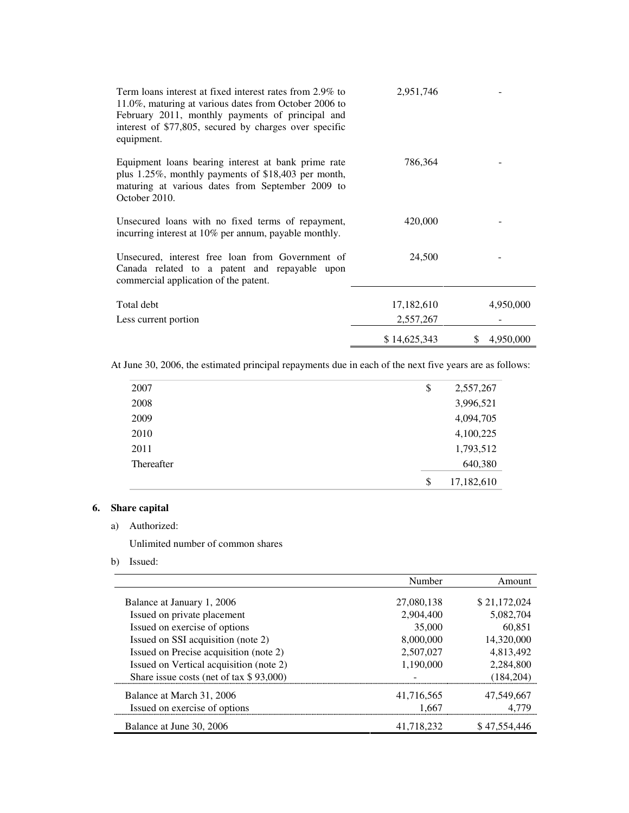| Term loans interest at fixed interest rates from 2.9% to<br>11.0%, maturing at various dates from October 2006 to<br>February 2011, monthly payments of principal and<br>interest of \$77,805, secured by charges over specific<br>equipment. | 2,951,746    |                 |
|-----------------------------------------------------------------------------------------------------------------------------------------------------------------------------------------------------------------------------------------------|--------------|-----------------|
| Equipment loans bearing interest at bank prime rate<br>plus $1.25\%$ , monthly payments of \$18,403 per month,<br>maturing at various dates from September 2009 to<br>October 2010.                                                           | 786,364      |                 |
| Unsecured loans with no fixed terms of repayment,<br>incurring interest at 10% per annum, payable monthly.                                                                                                                                    | 420,000      |                 |
| Unsecured, interest free loan from Government of<br>Canada related to a patent and repayable upon<br>commercial application of the patent.                                                                                                    | 24,500       |                 |
| Total debt                                                                                                                                                                                                                                    | 17,182,610   | 4,950,000       |
| Less current portion                                                                                                                                                                                                                          | 2,557,267    |                 |
|                                                                                                                                                                                                                                               | \$14,625,343 | 4,950,000<br>S. |

At June 30, 2006, the estimated principal repayments due in each of the next five years are as follows:

| 2007       | \$<br>2,557,267  |
|------------|------------------|
| 2008       | 3,996,521        |
| 2009       | 4,094,705        |
| 2010       | 4,100,225        |
| 2011       | 1,793,512        |
| Thereafter | 640,380          |
|            | \$<br>17,182,610 |

## **6. Share capital**

a) Authorized:

Unlimited number of common shares

b) Issued:

|                                            | Number     | Amount       |
|--------------------------------------------|------------|--------------|
| Balance at January 1, 2006                 | 27,080,138 | \$21,172,024 |
| Issued on private placement                | 2.904.400  | 5,082,704    |
| Issued on exercise of options              | 35,000     | 60.851       |
| Issued on SSI acquisition (note 2)         | 8,000,000  | 14,320,000   |
| Issued on Precise acquisition (note 2)     | 2,507,027  | 4,813,492    |
| Issued on Vertical acquisition (note 2)    | 1,190,000  | 2,284,800    |
| Share issue costs (net of tax $$ 93,000$ ) |            | (184.204)    |
| Balance at March 31, 2006                  | 41,716,565 | 47,549,667   |
| Issued on exercise of options              | 1.667      |              |
| Balance at June 30, 2006                   | 41.718.232 | \$47.554.446 |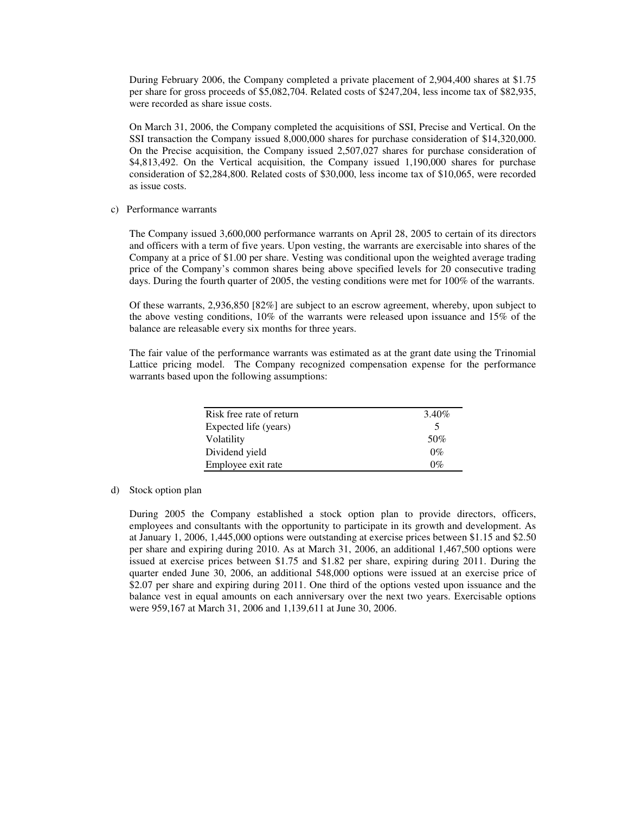During February 2006, the Company completed a private placement of 2,904,400 shares at \$1.75 per share for gross proceeds of \$5,082,704. Related costs of \$247,204, less income tax of \$82,935, were recorded as share issue costs.

On March 31, 2006, the Company completed the acquisitions of SSI, Precise and Vertical. On the SSI transaction the Company issued 8,000,000 shares for purchase consideration of \$14,320,000. On the Precise acquisition, the Company issued 2,507,027 shares for purchase consideration of \$4,813,492. On the Vertical acquisition, the Company issued 1,190,000 shares for purchase consideration of \$2,284,800. Related costs of \$30,000, less income tax of \$10,065, were recorded as issue costs.

#### c) Performance warrants

The Company issued 3,600,000 performance warrants on April 28, 2005 to certain of its directors and officers with a term of five years. Upon vesting, the warrants are exercisable into shares of the Company at a price of \$1.00 per share. Vesting was conditional upon the weighted average trading price of the Company's common shares being above specified levels for 20 consecutive trading days. During the fourth quarter of 2005, the vesting conditions were met for 100% of the warrants.

Of these warrants, 2,936,850 [82%] are subject to an escrow agreement, whereby, upon subject to the above vesting conditions, 10% of the warrants were released upon issuance and 15% of the balance are releasable every six months for three years.

The fair value of the performance warrants was estimated as at the grant date using the Trinomial Lattice pricing model. The Company recognized compensation expense for the performance warrants based upon the following assumptions:

| Risk free rate of return | 3.40% |
|--------------------------|-------|
| Expected life (years)    | 5     |
| Volatility               | 50%   |
| Dividend yield           | $0\%$ |
| Employee exit rate       | 0%    |

#### d) Stock option plan

During 2005 the Company established a stock option plan to provide directors, officers, employees and consultants with the opportunity to participate in its growth and development. As at January 1, 2006, 1,445,000 options were outstanding at exercise prices between \$1.15 and \$2.50 per share and expiring during 2010. As at March 31, 2006, an additional 1,467,500 options were issued at exercise prices between \$1.75 and \$1.82 per share, expiring during 2011. During the quarter ended June 30, 2006, an additional 548,000 options were issued at an exercise price of \$2.07 per share and expiring during 2011. One third of the options vested upon issuance and the balance vest in equal amounts on each anniversary over the next two years. Exercisable options were 959,167 at March 31, 2006 and 1,139,611 at June 30, 2006.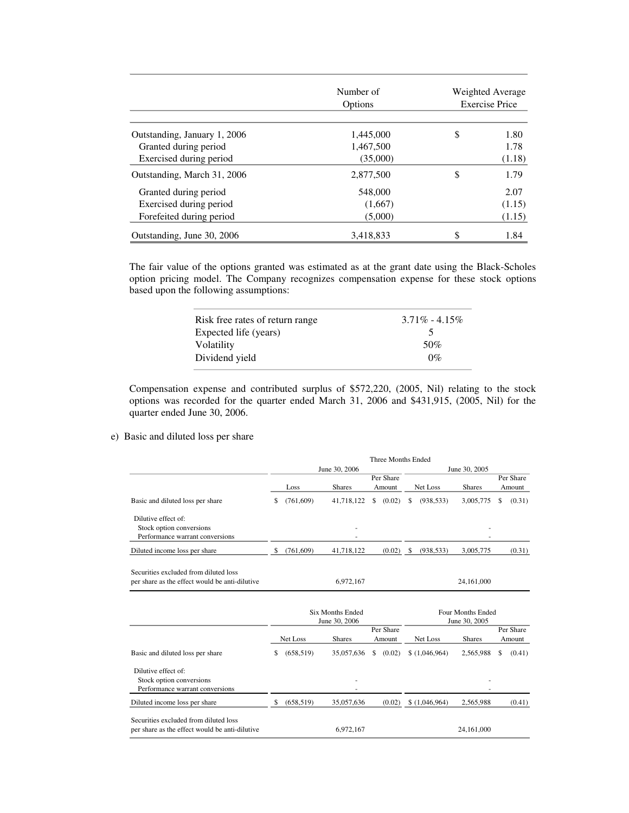|                              | Number of<br>Options |    | Weighted Average<br><b>Exercise Price</b> |
|------------------------------|----------------------|----|-------------------------------------------|
| Outstanding, January 1, 2006 | 1,445,000            | \$ | 1.80                                      |
| Granted during period        | 1,467,500            |    | 1.78                                      |
| Exercised during period      | (35,000)             |    | (1.18)                                    |
| Outstanding, March 31, 2006  | 2,877,500            | \$ | 1.79                                      |
| Granted during period        | 548,000              |    | 2.07                                      |
| Exercised during period      | (1,667)              |    | (1.15)                                    |
| Forefeited during period     | (5,000)              |    | (1.15)                                    |
| Outstanding, June 30, 2006   | 3,418,833            | \$ | 1.84                                      |

The fair value of the options granted was estimated as at the grant date using the Black-Scholes option pricing model. The Company recognizes compensation expense for these stock options based upon the following assumptions:

| Risk free rates of return range | $3.71\% - 4.15\%$ |
|---------------------------------|-------------------|
| Expected life (years)           |                   |
| Volatility                      | 50%               |
| Dividend yield                  | $0\%$             |

Compensation expense and contributed surplus of \$572,220, (2005, Nil) relating to the stock options was recorded for the quarter ended March 31, 2006 and \$431,915, (2005, Nil) for the quarter ended June 30, 2006.

e) Basic and diluted loss per share

|                                                                                         | <b>Three Months Ended</b>                |            |               |                                    |        |               |               |               |                     |                     |  |
|-----------------------------------------------------------------------------------------|------------------------------------------|------------|---------------|------------------------------------|--------|---------------|---------------|---------------|---------------------|---------------------|--|
|                                                                                         | June 30, 2006                            |            |               |                                    |        | June 30, 2005 |               |               |                     |                     |  |
|                                                                                         |                                          | Loss       | <b>Shares</b> | Per Share<br>Amount                |        | Net Loss      |               | <b>Shares</b> | Per Share<br>Amount |                     |  |
| Basic and diluted loss per share                                                        | \$                                       | (761, 609) | 41,718,122    | \$                                 | (0.02) | \$            | (938, 533)    | 3,005,775     | \$                  | (0.31)              |  |
| Dilutive effect of:<br>Stock option conversions<br>Performance warrant conversions      |                                          |            |               |                                    |        |               |               |               |                     |                     |  |
| Diluted income loss per share                                                           | \$                                       | (761, 609) | 41,718,122    |                                    | (0.02) | - \$          | (938, 533)    | 3,005,775     |                     | (0.31)              |  |
| Securities excluded from diluted loss<br>per share as the effect would be anti-dilutive |                                          |            | 6,972,167     |                                    |        |               |               | 24,161,000    |                     |                     |  |
|                                                                                         | <b>Six Months Ended</b><br>June 30, 2006 |            |               | Four Months Ended<br>June 30, 2005 |        |               |               |               |                     |                     |  |
|                                                                                         | Net Loss                                 |            | <b>Shares</b> | Per Share<br>Amount                |        |               | Net Loss      | <b>Shares</b> |                     | Per Share<br>Amount |  |
| Basic and diluted loss per share                                                        | \$                                       | (658, 519) | 35,057,636    | \$                                 | (0.02) |               | \$(1,046,964) | 2,565,988     | \$                  | (0.41)              |  |
| Dilutive effect of:<br>Stock option conversions<br>Performance warrant conversions      |                                          |            |               |                                    |        |               |               |               |                     |                     |  |
| Diluted income loss per share                                                           | \$.                                      | (658, 519) | 35,057,636    |                                    | (0.02) |               | \$(1,046,964) | 2,565,988     |                     | (0.41)              |  |
| Securities excluded from diluted loss<br>per share as the effect would be anti-dilutive |                                          |            | 6,972,167     |                                    |        |               |               | 24,161,000    |                     |                     |  |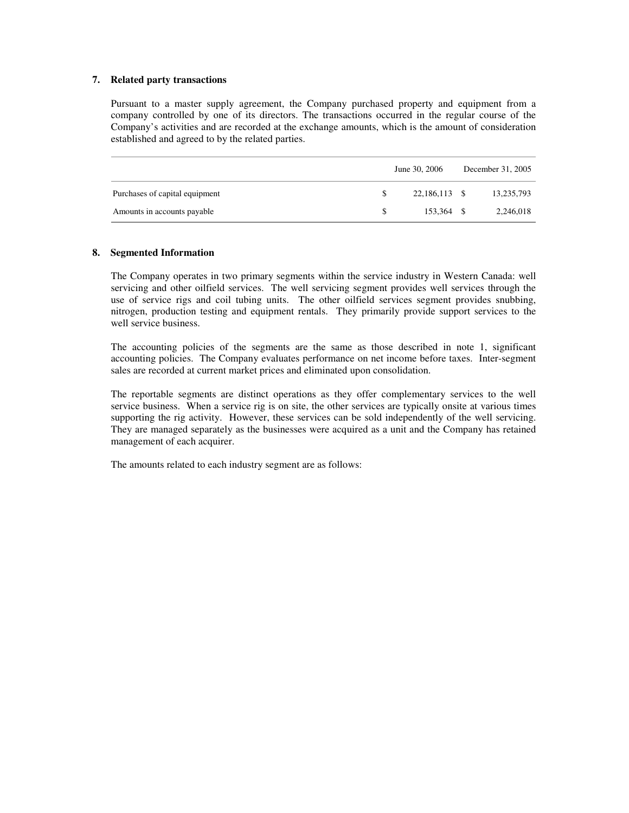#### **7. Related party transactions**

Pursuant to a master supply agreement, the Company purchased property and equipment from a company controlled by one of its directors. The transactions occurred in the regular course of the Company's activities and are recorded at the exchange amounts, which is the amount of consideration established and agreed to by the related parties.

|                                |     | June 30, 2006 | December 31, 2005 |            |  |
|--------------------------------|-----|---------------|-------------------|------------|--|
| Purchases of capital equipment | \$. | 22,186,113 \$ |                   | 13,235,793 |  |
| Amounts in accounts payable    | \$. | 153.364 \$    |                   | 2,246,018  |  |

#### **8. Segmented Information**

The Company operates in two primary segments within the service industry in Western Canada: well servicing and other oilfield services. The well servicing segment provides well services through the use of service rigs and coil tubing units. The other oilfield services segment provides snubbing, nitrogen, production testing and equipment rentals. They primarily provide support services to the well service business.

The accounting policies of the segments are the same as those described in note 1, significant accounting policies. The Company evaluates performance on net income before taxes. Inter-segment sales are recorded at current market prices and eliminated upon consolidation.

The reportable segments are distinct operations as they offer complementary services to the well service business. When a service rig is on site, the other services are typically onsite at various times supporting the rig activity. However, these services can be sold independently of the well servicing. They are managed separately as the businesses were acquired as a unit and the Company has retained management of each acquirer.

The amounts related to each industry segment are as follows: